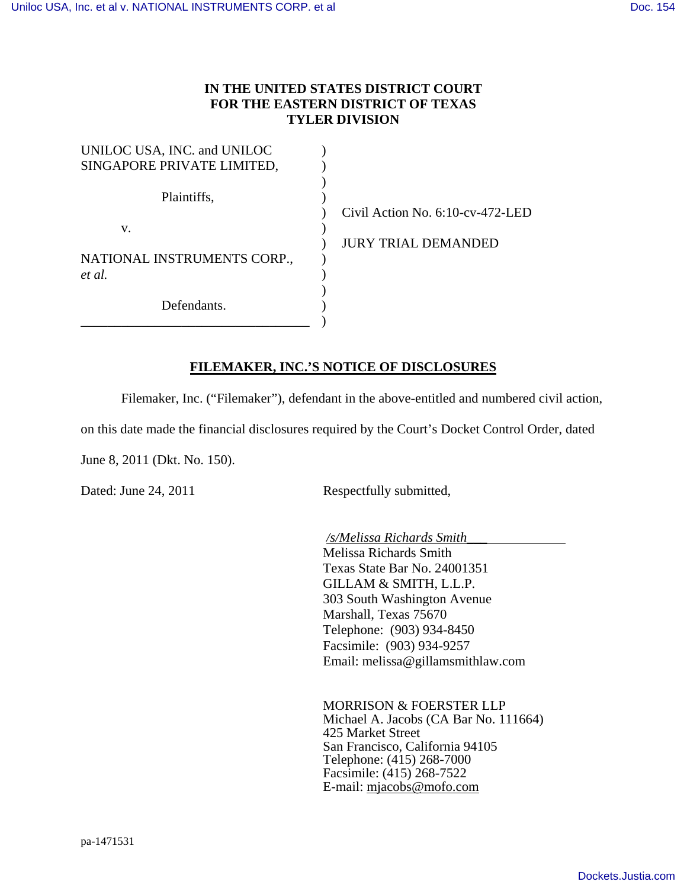## **IN THE UNITED STATES DISTRICT COURT FOR THE EASTERN DISTRICT OF TEXAS TYLER DIVISION**

| UNILOC USA, INC. and UNILOC<br>SINGAPORE PRIVATE LIMITED, |  |
|-----------------------------------------------------------|--|
| Plaintiffs,                                               |  |
| $V_{-}$                                                   |  |
| NATIONAL INSTRUMENTS CORP.,<br>et al                      |  |
| Defendants.                                               |  |

Civil Action No. 6:10-cv-472-LED

JURY TRIAL DEMANDED

## **FILEMAKER, INC.'S NOTICE OF DISCLOSURES**

Filemaker, Inc. ("Filemaker"), defendant in the above-entitled and numbered civil action,

on this date made the financial disclosures required by the Court's Docket Control Order, dated

June 8, 2011 (Dkt. No. 150).

Dated: June 24, 2011 Respectfully submitted,

*/s/Melissa Richards Smith\_\_\_* 

 Melissa Richards Smith Texas State Bar No. 24001351 GILLAM & SMITH, L.L.P. 303 South Washington Avenue Marshall, Texas 75670 Telephone: (903) 934-8450 Facsimile: (903) 934-9257 Email: melissa@gillamsmithlaw.com

 MORRISON & FOERSTER LLP Michael A. Jacobs (CA Bar No. 111664) 425 Market Street San Francisco, California 94105 Telephone: (415) 268-7000 Facsimile: (415) 268-7522 E-mail: mjacobs@mofo.com